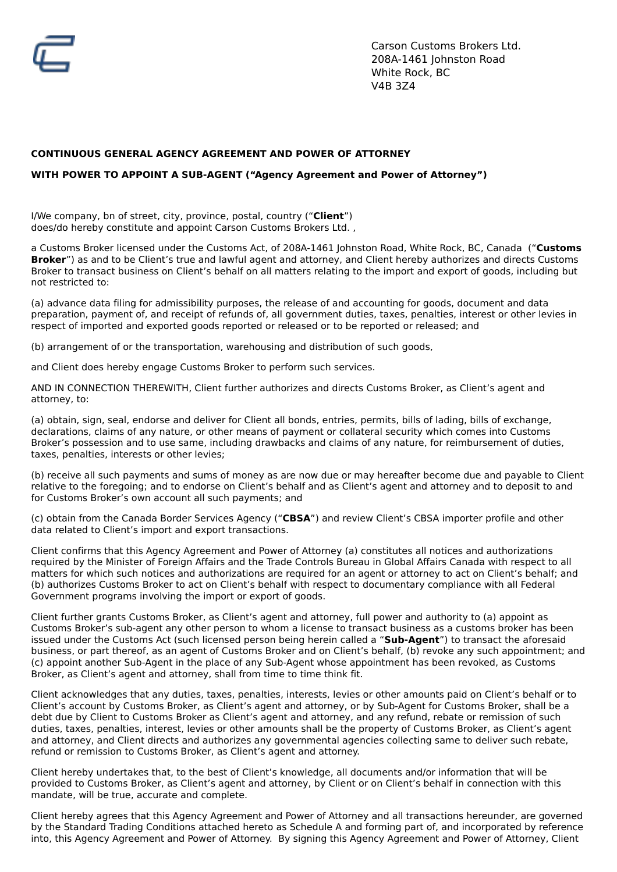# **CONTINUOUS GENERAL AGENCY AGREEMENT AND POWER OF ATTORNEY**

## **WITH POWER TO APPOINT A SUB-AGENT ("Agency Agreement and Power of Attorney")**

I/We company, bn of street, city, province, postal, country ("**Client**") does/do hereby constitute and appoint Carson Customs Brokers Ltd. ,

a Customs Broker licensed under the Customs Act, of 208A-1461 Johnston Road, White Rock, BC, Canada ("**Customs Broker**") as and to be Client's true and lawful agent and attorney, and Client hereby authorizes and directs Customs Broker to transact business on Client's behalf on all matters relating to the import and export of goods, including but not restricted to:

(a) advance data filing for admissibility purposes, the release of and accounting for goods, document and data preparation, payment of, and receipt of refunds of, all government duties, taxes, penalties, interest or other levies in respect of imported and exported goods reported or released or to be reported or released; and

(b) arrangement of or the transportation, warehousing and distribution of such goods,

and Client does hereby engage Customs Broker to perform such services.

AND IN CONNECTION THEREWITH, Client further authorizes and directs Customs Broker, as Client's agent and attorney, to:

(a) obtain, sign, seal, endorse and deliver for Client all bonds, entries, permits, bills of lading, bills of exchange, declarations, claims of any nature, or other means of payment or collateral security which comes into Customs Broker's possession and to use same, including drawbacks and claims of any nature, for reimbursement of duties, taxes, penalties, interests or other levies;

(b) receive all such payments and sums of money as are now due or may hereafter become due and payable to Client relative to the foregoing; and to endorse on Client's behalf and as Client's agent and attorney and to deposit to and for Customs Broker's own account all such payments; and

(c) obtain from the Canada Border Services Agency ("**CBSA**") and review Client's CBSA importer profile and other data related to Client's import and export transactions.

Client confirms that this Agency Agreement and Power of Attorney (a) constitutes all notices and authorizations required by the Minister of Foreign Affairs and the Trade Controls Bureau in Global Affairs Canada with respect to all matters for which such notices and authorizations are required for an agent or attorney to act on Client's behalf; and (b) authorizes Customs Broker to act on Client's behalf with respect to documentary compliance with all Federal Government programs involving the import or export of goods.

Client further grants Customs Broker, as Client's agent and attorney, full power and authority to (a) appoint as Customs Broker's sub-agent any other person to whom a license to transact business as a customs broker has been issued under the Customs Act (such licensed person being herein called a "**Sub-Agent**") to transact the aforesaid business, or part thereof, as an agent of Customs Broker and on Client's behalf, (b) revoke any such appointment; and (c) appoint another Sub-Agent in the place of any Sub-Agent whose appointment has been revoked, as Customs Broker, as Client's agent and attorney, shall from time to time think fit.

Client acknowledges that any duties, taxes, penalties, interests, levies or other amounts paid on Client's behalf or to Client's account by Customs Broker, as Client's agent and attorney, or by Sub-Agent for Customs Broker, shall be a debt due by Client to Customs Broker as Client's agent and attorney, and any refund, rebate or remission of such duties, taxes, penalties, interest, levies or other amounts shall be the property of Customs Broker, as Client's agent and attorney, and Client directs and authorizes any governmental agencies collecting same to deliver such rebate, refund or remission to Customs Broker, as Client's agent and attorney.

Client hereby undertakes that, to the best of Client's knowledge, all documents and/or information that will be provided to Customs Broker, as Client's agent and attorney, by Client or on Client's behalf in connection with this mandate, will be true, accurate and complete.

Client hereby agrees that this Agency Agreement and Power of Attorney and all transactions hereunder, are governed by the Standard Trading Conditions attached hereto as Schedule A and forming part of, and incorporated by reference into, this Agency Agreement and Power of Attorney. By signing this Agency Agreement and Power of Attorney, Client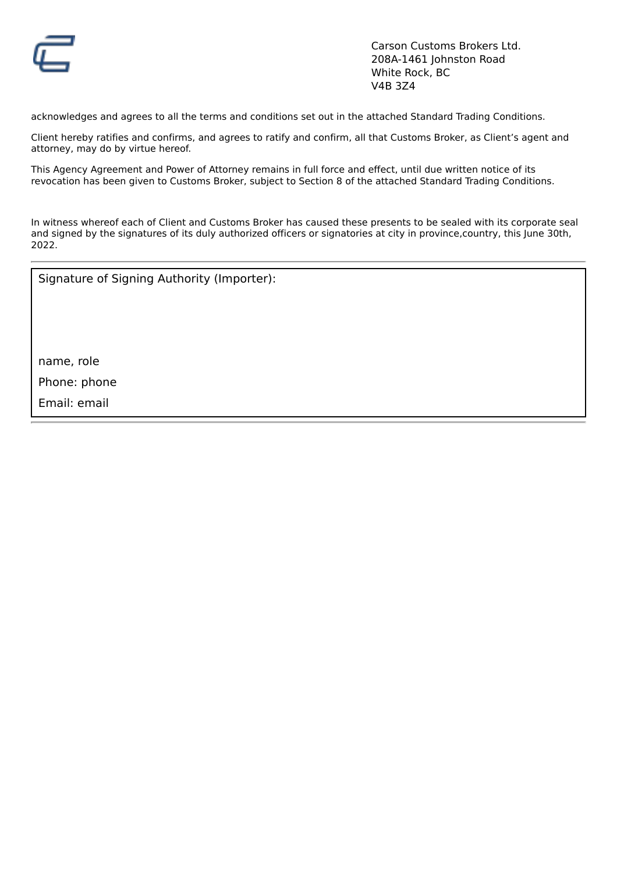

acknowledges and agrees to all the terms and conditions set out in the attached Standard Trading Conditions.

Client hereby ratifies and confirms, and agrees to ratify and confirm, all that Customs Broker, as Client's agent and attorney, may do by virtue hereof.

This Agency Agreement and Power of Attorney remains in full force and effect, until due written notice of its revocation has been given to Customs Broker, subject to Section 8 of the attached Standard Trading Conditions.

In witness whereof each of Client and Customs Broker has caused these presents to be sealed with its corporate seal and signed by the signatures of its duly authorized officers or signatories at city in province,country, this June 30th, 2022.

Signature of Signing Authority (Importer):

name, role

Phone: phone

Email: email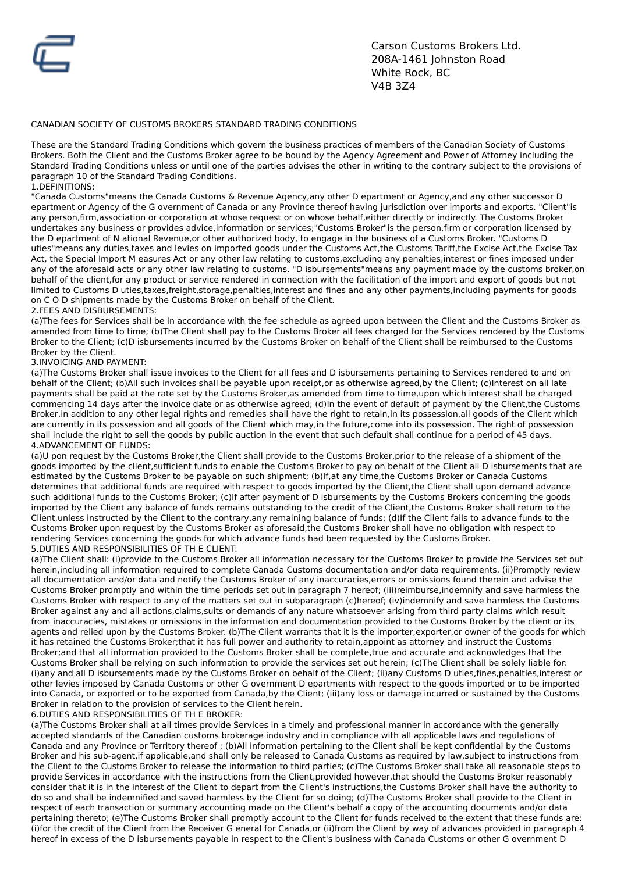

## CANADIAN SOCIETY OF CUSTOMS BROKERS STANDARD TRADING CONDITIONS

These are the Standard Trading Conditions which govern the business practices of members of the Canadian Society of Customs Brokers. Both the Client and the Customs Broker agree to be bound by the Agency Agreement and Power of Attorney including the Standard Trading Conditions unless or until one of the parties advises the other in writing to the contrary subject to the provisions of paragraph 10 of the Standard Trading Conditions.

1.DEFINITIONS:

"Canada Customs"means the Canada Customs & Revenue Agency,any other D epartment or Agency,and any other successor D epartment or Agency of the G overnment of Canada or any Province thereof having jurisdiction over imports and exports. "Client"is any person,firm,association or corporation at whose request or on whose behalf,either directly or indirectly. The Customs Broker undertakes any business or provides advice,information or services;"Customs Broker"is the person,firm or corporation licensed by the D epartment of N ational Revenue,or other authorized body, to engage in the business of a Customs Broker. "Customs D uties"means any duties,taxes and levies on imported goods under the Customs Act,the Customs Tariff,the Excise Act,the Excise Tax Act, the Special Import M easures Act or any other law relating to customs,excluding any penalties,interest or fines imposed under any of the aforesaid acts or any other law relating to customs. "D isbursements"means any payment made by the customs broker,on behalf of the client,for any product or service rendered in connection with the facilitation of the import and export of goods but not limited to Customs D uties,taxes,freight,storage,penalties,interest and fines and any other payments,including payments for goods on C O D shipments made by the Customs Broker on behalf of the Client.

### 2.FEES AND DISBURSEMENTS:

(a)The fees for Services shall be in accordance with the fee schedule as agreed upon between the Client and the Customs Broker as amended from time to time; (b)The Client shall pay to the Customs Broker all fees charged for the Services rendered by the Customs Broker to the Client; (c)D isbursements incurred by the Customs Broker on behalf of the Client shall be reimbursed to the Customs Broker by the Client.

### 3.INVOICING AND PAYMENT:

(a)The Customs Broker shall issue invoices to the Client for all fees and D isbursements pertaining to Services rendered to and on behalf of the Client; (b)All such invoices shall be payable upon receipt,or as otherwise agreed,by the Client; (c)Interest on all late payments shall be paid at the rate set by the Customs Broker,as amended from time to time,upon which interest shall be charged commencing 14 days after the invoice date or as otherwise agreed; (d)In the event of default of payment by the Client,the Customs Broker,in addition to any other legal rights and remedies shall have the right to retain,in its possession,all goods of the Client which are currently in its possession and all goods of the Client which may,in the future,come into its possession. The right of possession shall include the right to sell the goods by public auction in the event that such default shall continue for a period of 45 days. 4.ADVANCEMENT OF FUNDS:

(a)U pon request by the Customs Broker,the Client shall provide to the Customs Broker,prior to the release of a shipment of the goods imported by the client,sufficient funds to enable the Customs Broker to pay on behalf of the Client all D isbursements that are estimated by the Customs Broker to be payable on such shipment; (b)If,at any time,the Customs Broker or Canada Customs determines that additional funds are required with respect to goods imported by the Client,the Client shall upon demand advance such additional funds to the Customs Broker; (c)If after payment of D isbursements by the Customs Brokers concerning the goods imported by the Client any balance of funds remains outstanding to the credit of the Client,the Customs Broker shall return to the Client,unless instructed by the Client to the contrary,any remaining balance of funds; (d)If the Client fails to advance funds to the Customs Broker upon request by the Customs Broker as aforesaid,the Customs Broker shall have no obligation with respect to rendering Services concerning the goods for which advance funds had been requested by the Customs Broker. 5.DUTIES AND RESPONSIBILITIES OF TH E CLIENT:

(a)The Client shall: (i)provide to the Customs Broker all information necessary for the Customs Broker to provide the Services set out herein,including all information required to complete Canada Customs documentation and/or data requirements. (ii)Promptly review all documentation and/or data and notify the Customs Broker of any inaccuracies,errors or omissions found therein and advise the Customs Broker promptly and within the time periods set out in paragraph 7 hereof; (iii)reimburse,indemnify and save harmless the Customs Broker with respect to any of the matters set out in subparagraph (c)hereof; (iv)indemnify and save harmless the Customs Broker against any and all actions,claims,suits or demands of any nature whatsoever arising from third party claims which result from inaccuracies, mistakes or omissions in the information and documentation provided to the Customs Broker by the client or its agents and relied upon by the Customs Broker. (b)The Client warrants that it is the importer,exporter,or owner of the goods for which it has retained the Customs Broker;that it has full power and authority to retain,appoint as attorney and instruct the Customs Broker;and that all information provided to the Customs Broker shall be complete,true and accurate and acknowledges that the Customs Broker shall be relying on such information to provide the services set out herein; (c)The Client shall be solely liable for: (i)any and all D isbursements made by the Customs Broker on behalf of the Client; (ii)any Customs D uties,fines,penalties,interest or other levies imposed by Canada Customs or other G overnment D epartments with respect to the goods imported or to be imported into Canada, or exported or to be exported from Canada,by the Client; (iii)any loss or damage incurred or sustained by the Customs Broker in relation to the provision of services to the Client herein.

#### 6.DUTIES AND RESPONSIBILITIES OF TH E BROKER:

(a)The Customs Broker shall at all times provide Services in a timely and professional manner in accordance with the generally accepted standards of the Canadian customs brokerage industry and in compliance with all applicable laws and regulations of Canada and any Province or Territory thereof ; (b)All information pertaining to the Client shall be kept confidential by the Customs Broker and his sub-agent,if applicable,and shall only be released to Canada Customs as required by law,subject to instructions from the Client to the Customs Broker to release the information to third parties; (c)The Customs Broker shall take all reasonable steps to provide Services in accordance with the instructions from the Client,provided however,that should the Customs Broker reasonably consider that it is in the interest of the Client to depart from the Client's instructions,the Customs Broker shall have the authority to do so and shall be indemnified and saved harmless by the Client for so doing; (d)The Customs Broker shall provide to the Client in respect of each transaction or summary accounting made on the Client's behalf a copy of the accounting documents and/or data pertaining thereto; (e)The Customs Broker shall promptly account to the Client for funds received to the extent that these funds are: (i)for the credit of the Client from the Receiver G eneral for Canada,or (ii)from the Client by way of advances provided in paragraph 4 hereof in excess of the D isbursements payable in respect to the Client's business with Canada Customs or other G overnment D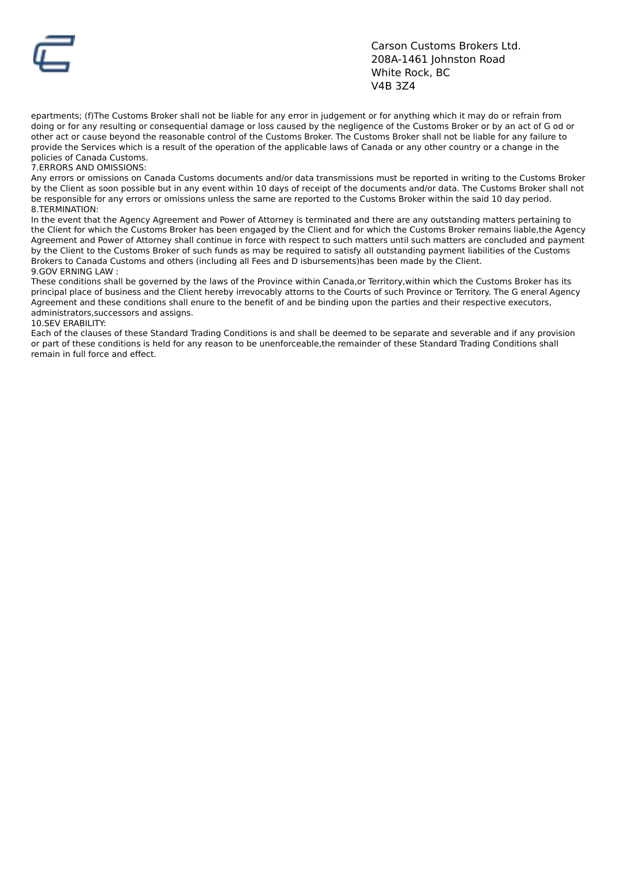

epartments; (f)The Customs Broker shall not be liable for any error in judgement or for anything which it may do or refrain from doing or for any resulting or consequential damage or loss caused by the negligence of the Customs Broker or by an act of G od or other act or cause beyond the reasonable control of the Customs Broker. The Customs Broker shall not be liable for any failure to provide the Services which is a result of the operation of the applicable laws of Canada or any other country or a change in the policies of Canada Customs.

7.ERRORS AND OMISSIONS:

Any errors or omissions on Canada Customs documents and/or data transmissions must be reported in writing to the Customs Broker by the Client as soon possible but in any event within 10 days of receipt of the documents and/or data. The Customs Broker shall not be responsible for any errors or omissions unless the same are reported to the Customs Broker within the said 10 day period. 8.TERMINATION:

In the event that the Agency Agreement and Power of Attorney is terminated and there are any outstanding matters pertaining to the Client for which the Customs Broker has been engaged by the Client and for which the Customs Broker remains liable,the Agency Agreement and Power of Attorney shall continue in force with respect to such matters until such matters are concluded and payment by the Client to the Customs Broker of such funds as may be required to satisfy all outstanding payment liabilities of the Customs Brokers to Canada Customs and others (including all Fees and D isbursements)has been made by the Client. 9.GOV FRNING LAW:

These conditions shall be governed by the laws of the Province within Canada,or Territory,within which the Customs Broker has its principal place of business and the Client hereby irrevocably attorns to the Courts of such Province or Territory. The G eneral Agency Agreement and these conditions shall enure to the benefit of and be binding upon the parties and their respective executors, administrators,successors and assigns.

#### 10.SEV ERABILITY:

Each of the clauses of these Standard Trading Conditions is and shall be deemed to be separate and severable and if any provision or part of these conditions is held for any reason to be unenforceable,the remainder of these Standard Trading Conditions shall remain in full force and effect.